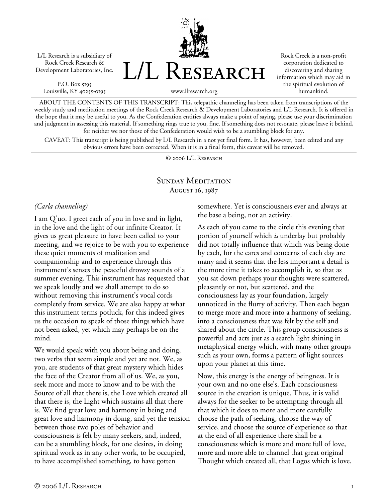L/L Research is a subsidiary of Rock Creek Research & Development Laboratories, Inc.

P.O. Box 5195 Louisville, KY 40255-0195



Rock Creek is a non-profit corporation dedicated to discovering and sharing information which may aid in the spiritual evolution of humankind.

www.llresearch.org

ABOUT THE CONTENTS OF THIS TRANSCRIPT: This telepathic channeling has been taken from transcriptions of the weekly study and meditation meetings of the Rock Creek Research & Development Laboratories and L/L Research. It is offered in the hope that it may be useful to you. As the Confederation entities always make a point of saying, please use your discrimination and judgment in assessing this material. If something rings true to you, fine. If something does not resonate, please leave it behind, for neither we nor those of the Confederation would wish to be a stumbling block for any.

CAVEAT: This transcript is being published by L/L Research in a not yet final form. It has, however, been edited and any obvious errors have been corrected. When it is in a final form, this caveat will be removed.

© 2006 L/L Research

## SUNDAY MEDITATION August 16, 1987

## *(Carla channeling)*

I am Q'uo. I greet each of you in love and in light, in the love and the light of our infinite Creator. It gives us great pleasure to have been called to your meeting, and we rejoice to be with you to experience these quiet moments of meditation and companionship and to experience through this instrument's senses the peaceful drowsy sounds of a summer evening. This instrument has requested that we speak loudly and we shall attempt to do so without removing this instrument's vocal cords completely from service. We are also happy at what this instrument terms potluck, for this indeed gives us the occasion to speak of those things which have not been asked, yet which may perhaps be on the mind.

We would speak with you about being and doing, two verbs that seem simple and yet are not. We, as you, are students of that great mystery which hides the face of the Creator from all of us. We, as you, seek more and more to know and to be with the Source of all that there is, the Love which created all that there is, the Light which sustains all that there is. We find great love and harmony in being and great love and harmony in doing, and yet the tension between those two poles of behavior and consciousness is felt by many seekers, and, indeed, can be a stumbling block, for one desires, in doing spiritual work as in any other work, to be occupied, to have accomplished something, to have gotten

somewhere. Yet is consciousness ever and always at the base a being, not an activity.

As each of you came to the circle this evening that portion of yourself which *is* underlay but probably did not totally influence that which was being done by each, for the cares and concerns of each day are many and it seems that the less important a detail is the more time it takes to accomplish it, so that as you sat down perhaps your thoughts were scattered, pleasantly or not, but scattered, and the consciousness lay as your foundation, largely unnoticed in the flurry of activity. Then each began to merge more and more into a harmony of seeking, into a consciousness that was felt by the self and shared about the circle. This group consciousness is powerful and acts just as a search light shining in metaphysical energy which, with many other groups such as your own, forms a pattern of light sources upon your planet at this time.

Now, this energy is the energy of beingness. It is your own and no one else's. Each consciousness source in the creation is unique. Thus, it is valid always for the seeker to be attempting through all that which it does to more and more carefully choose the path of seeking, choose the way of service, and choose the source of experience so that at the end of all experience there shall be a consciousness which is more and more full of love, more and more able to channel that great original Thought which created all, that Logos which is love.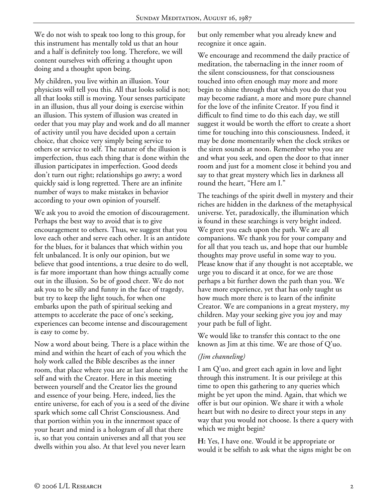We do not wish to speak too long to this group, for this instrument has mentally told us that an hour and a half is definitely too long. Therefore, we will content ourselves with offering a thought upon doing and a thought upon being.

My children, you live within an illusion. Your physicists will tell you this. All that looks solid is not; all that looks still is moving. Your senses participate in an illusion, thus all your doing is exercise within an illusion. This system of illusion was created in order that you may play and work and do all manner of activity until you have decided upon a certain choice, that choice very simply being service to others or service to self. The nature of the illusion is imperfection, thus each thing that is done within the illusion participates in imperfection. Good deeds don't turn out right; relationships go awry; a word quickly said is long regretted. There are an infinite number of ways to make mistakes in behavior according to your own opinion of yourself.

We ask you to avoid the emotion of discouragement. Perhaps the best way to avoid that is to give encouragement to others. Thus, we suggest that you love each other and serve each other. It is an antidote for the blues, for it balances that which within you felt unbalanced. It is only our opinion, but we believe that good intentions, a true desire to do well, is far more important than how things actually come out in the illusion. So be of good cheer. We do not ask you to be silly and funny in the face of tragedy, but try to keep the light touch, for when one embarks upon the path of spiritual seeking and attempts to accelerate the pace of one's seeking, experiences can become intense and discouragement is easy to come by.

Now a word about being. There is a place within the mind and within the heart of each of you which the holy work called the Bible describes as the inner room, that place where you are at last alone with the self and with the Creator. Here in this meeting between yourself and the Creator lies the ground and essence of your being. Here, indeed, lies the entire universe, for each of you is a seed of the divine spark which some call Christ Consciousness. And that portion within you in the innermost space of your heart and mind is a hologram of all that there is, so that you contain universes and all that you see dwells within you also. At that level you never learn

but only remember what you already knew and recognize it once again.

We encourage and recommend the daily practice of meditation, the tabernacling in the inner room of the silent consciousness, for that consciousness touched into often enough may more and more begin to shine through that which you do that you may become radiant, a more and more pure channel for the love of the infinite Creator. If you find it difficult to find time to do this each day, we still suggest it would be worth the effort to create a short time for touching into this consciousness. Indeed, it may be done momentarily when the clock strikes or the siren sounds at noon. Remember who you are and what you seek, and open the door to that inner room and just for a moment close it behind you and say to that great mystery which lies in darkness all round the heart, "Here am I."

The teachings of the spirit dwell in mystery and their riches are hidden in the darkness of the metaphysical universe. Yet, paradoxically, the illumination which is found in these searchings is very bright indeed. We greet you each upon the path. We are all companions. We thank you for your company and for all that you teach us, and hope that our humble thoughts may prove useful in some way to you. Please know that if any thought is not acceptable, we urge you to discard it at once, for we are those perhaps a bit further down the path than you. We have more experience, yet that has only taught us how much more there is to learn of the infinite Creator. We are companions in a great mystery, my children. May your seeking give you joy and may your path be full of light.

We would like to transfer this contact to the one known as Jim at this time. We are those of Q'uo.

## *(Jim channeling)*

I am Q'uo, and greet each again in love and light through this instrument. It is our privilege at this time to open this gathering to any queries which might be yet upon the mind. Again, that which we offer is but our opinion. We share it with a whole heart but with no desire to direct your steps in any way that you would not choose. Is there a query with which we might begin?

**H:** Yes, I have one. Would it be appropriate or would it be selfish to ask what the signs might be on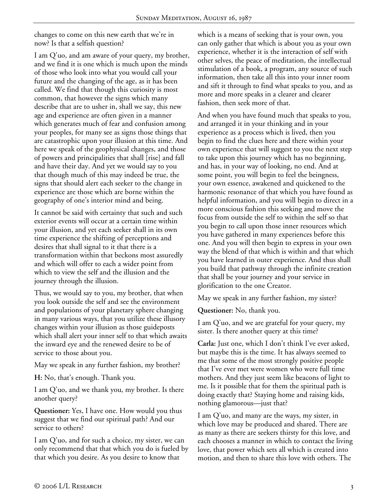changes to come on this new earth that we're in now? Is that a selfish question?

I am Q'uo, and am aware of your query, my brother, and we find it is one which is much upon the minds of those who look into what you would call your future and the changing of the age, as it has been called. We find that though this curiosity is most common, that however the signs which many describe that are to usher in, shall we say, this new age and experience are often given in a manner which generates much of fear and confusion among your peoples, for many see as signs those things that are catastrophic upon your illusion at this time. And here we speak of the geophysical changes, and those of powers and principalities that shall [rise] and fall and have their day. And yet we would say to you that though much of this may indeed be true, the signs that should alert each seeker to the change in experience are those which are borne within the geography of one's interior mind and being.

It cannot be said with certainty that such and such exterior events will occur at a certain time within your illusion, and yet each seeker shall in its own time experience the shifting of perceptions and desires that shall signal to it that there is a transformation within that beckons most assuredly and which will offer to each a wider point from which to view the self and the illusion and the journey through the illusion.

Thus, we would say to you, my brother, that when you look outside the self and see the environment and populations of your planetary sphere changing in many various ways, that you utilize these illusory changes within your illusion as those guideposts which shall alert your inner self to that which awaits the inward eye and the renewed desire to be of service to those about you.

May we speak in any further fashion, my brother?

**H:** No, that's enough. Thank you.

I am Q'uo, and we thank you, my brother. Is there another query?

**Questioner:** Yes, I have one. How would you thus suggest that we find our spiritual path? And our service to others?

I am Q'uo, and for such a choice, my sister, we can only recommend that that which you do is fueled by that which you desire. As you desire to know that

which is a means of seeking that is your own, you can only gather that which is about you as your own experience, whether it is the interaction of self with other selves, the peace of meditation, the intellectual stimulation of a book, a program, any source of such information, then take all this into your inner room and sift it through to find what speaks to you, and as more and more speaks in a clearer and clearer fashion, then seek more of that.

And when you have found much that speaks to you, and arranged it in your thinking and in your experience as a process which is lived, then you begin to find the clues here and there within your own experience that will suggest to you the next step to take upon this journey which has no beginning, and has, in your way of looking, no end. And at some point, you will begin to feel the beingness, your own essence, awakened and quickened to the harmonic resonance of that which you have found as helpful information, and you will begin to direct in a more conscious fashion this seeking and move the focus from outside the self to within the self so that you begin to call upon those inner resources which you have gathered in many experiences before this one. And you will then begin to express in your own way the blend of that which is within and that which you have learned in outer experience. And thus shall you build that pathway through the infinite creation that shall be your journey and your service in glorification to the one Creator.

May we speak in any further fashion, my sister?

**Questioner:** No, thank you.

I am Q'uo, and we are grateful for your query, my sister. Is there another query at this time?

**Carla:** Just one, which I don't think I've ever asked, but maybe this is the time. It has always seemed to me that some of the most strongly positive people that I've ever met were women who were full time mothers. And they just seem like beacons of light to me. Is it possible that for them the spiritual path is doing exactly that? Staying home and raising kids, nothing glamorous—just that?

I am Q'uo, and many are the ways, my sister, in which love may be produced and shared. There are as many as there are seekers thirsty for this love, and each chooses a manner in which to contact the living love, that power which sets all which is created into motion, and then to share this love with others. The